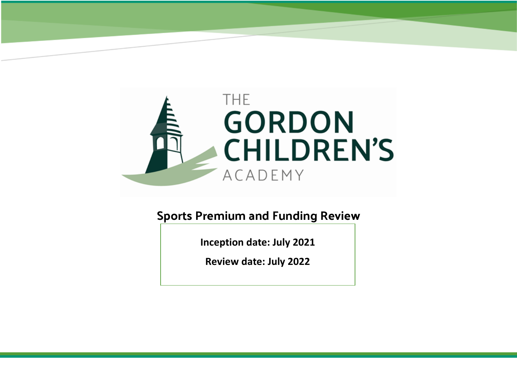

**Sports Premium and Funding Review**

**Inception date: July 2021**

**Review date: July 2022**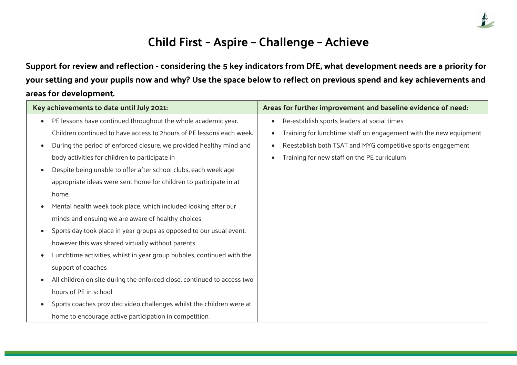

## **Child First – Aspire – Challenge – Achieve**

**Support for review and reflection - considering the 5 key indicators from DfE, what development needs are a priority for your setting and your pupils now and why? Use the space below to reflect on previous spend and key achievements and areas for development.**

| Key achievements to date until July 2021: |                                                                         |           | Areas for further improvement and baseline evidence of need:      |
|-------------------------------------------|-------------------------------------------------------------------------|-----------|-------------------------------------------------------------------|
| $\bullet$                                 | PE lessons have continued throughout the whole academic year.           | $\bullet$ | Re-establish sports leaders at social times                       |
|                                           | Children continued to have access to 2 hours of PE lessons each week.   |           | Training for lunchtime staff on engagement with the new equipment |
| $\bullet$                                 | During the period of enforced closure, we provided healthy mind and     | $\bullet$ | Reestablish both TSAT and MYG competitive sports engagement       |
|                                           | body activities for children to participate in                          |           | Training for new staff on the PE curriculum                       |
|                                           | Despite being unable to offer after school clubs, each week age         |           |                                                                   |
|                                           | appropriate ideas were sent home for children to participate in at      |           |                                                                   |
|                                           | home.                                                                   |           |                                                                   |
|                                           | Mental health week took place, which included looking after our         |           |                                                                   |
|                                           | minds and ensuing we are aware of healthy choices                       |           |                                                                   |
|                                           | Sports day took place in year groups as opposed to our usual event,     |           |                                                                   |
|                                           | however this was shared virtually without parents                       |           |                                                                   |
|                                           | Lunchtime activities, whilst in year group bubbles, continued with the  |           |                                                                   |
|                                           | support of coaches                                                      |           |                                                                   |
|                                           | All children on site during the enforced close, continued to access two |           |                                                                   |
|                                           | hours of PE in school                                                   |           |                                                                   |
|                                           | Sports coaches provided video challenges whilst the children were at    |           |                                                                   |
|                                           | home to encourage active participation in competition.                  |           |                                                                   |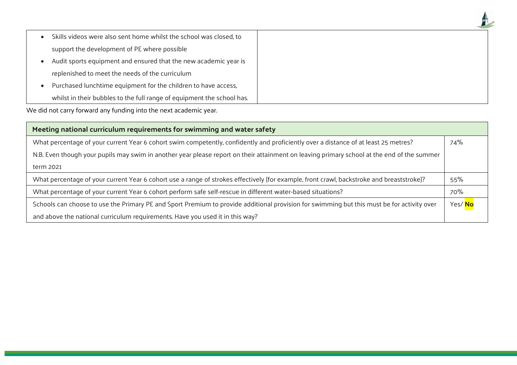| Skills videos were also sent home whilst the school was closed, to     |
|------------------------------------------------------------------------|
| support the development of PE where possible                           |
| Audit sports equipment and ensured that the new academic year is       |
| replenished to meet the needs of the curriculum                        |
| Purchased lunchtime equipment for the children to have access,         |
| whilst in their bubbles to the full range of equipment the school has. |

We did not carry forward any funding into the next academic year.

| Meeting national curriculum requirements for swimming and water safety                                                                     |        |  |  |  |
|--------------------------------------------------------------------------------------------------------------------------------------------|--------|--|--|--|
| What percentage of your current Year 6 cohort swim competently, confidently and proficiently over a distance of at least 25 metres?        | 74%    |  |  |  |
| N.B. Even though your pupils may swim in another year please report on their attainment on leaving primary school at the end of the summer |        |  |  |  |
| term 2021                                                                                                                                  |        |  |  |  |
| What percentage of your current Year 6 cohort use a range of strokes effectively [for example, front crawl, backstroke and breaststroke]?  | 55%    |  |  |  |
| What percentage of your current Year 6 cohort perform safe self-rescue in different water-based situations?                                | 70%    |  |  |  |
| Schools can choose to use the Primary PE and Sport Premium to provide additional provision for swimming but this must be for activity over | Yes/No |  |  |  |
| and above the national curriculum requirements. Have you used it in this way?                                                              |        |  |  |  |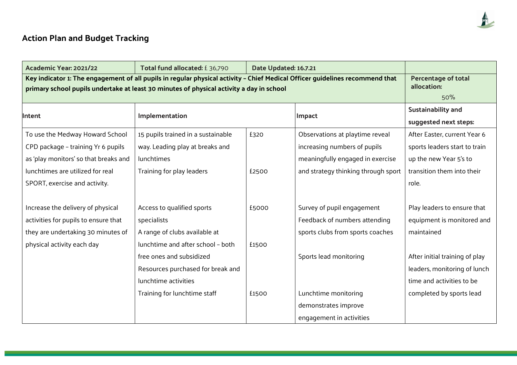## **Action Plan and Budget Tracking**

| Academic Year: 2021/22                                                                                                                                                                                                   | Total fund allocated: £36,790                                                                                         | Date Updated: 16.7.21 |                                                                                                                                            |                                                                                                                                |
|--------------------------------------------------------------------------------------------------------------------------------------------------------------------------------------------------------------------------|-----------------------------------------------------------------------------------------------------------------------|-----------------------|--------------------------------------------------------------------------------------------------------------------------------------------|--------------------------------------------------------------------------------------------------------------------------------|
| Key indicator 1: The engagement of all pupils in regular physical activity - Chief Medical Officer guidelines recommend that<br>primary school pupils undertake at least 30 minutes of physical activity a day in school | <b>Percentage of total</b><br>allocation:<br>50%                                                                      |                       |                                                                                                                                            |                                                                                                                                |
| <b>Intent</b>                                                                                                                                                                                                            | Implementation                                                                                                        |                       | Impact                                                                                                                                     | <b>Sustainability and</b><br>suggested next steps:                                                                             |
| To use the Medway Howard School<br>CPD package - training Yr 6 pupils<br>as 'play monitors' so that breaks and<br>lunchtimes are utilized for real<br>SPORT, exercise and activity.                                      | 15 pupils trained in a sustainable<br>way. Leading play at breaks and<br>lunchtimes<br>Training for play leaders      | £320<br>£2500         | Observations at playtime reveal<br>increasing numbers of pupils<br>meaningfully engaged in exercise<br>and strategy thinking through sport | After Easter, current Year 6<br>sports leaders start to train<br>up the new Year 5's to<br>transition them into their<br>role. |
| Increase the delivery of physical<br>activities for pupils to ensure that<br>they are undertaking 30 minutes of<br>physical activity each day                                                                            | Access to qualified sports<br>specialists<br>A range of clubs available at<br>lunchtime and after school - both       | £5000<br>£1500        | Survey of pupil engagement<br>Feedback of numbers attending<br>sports clubs from sports coaches                                            | Play leaders to ensure that<br>equipment is monitored and<br>maintained                                                        |
|                                                                                                                                                                                                                          | free ones and subsidized<br>Resources purchased for break and<br>lunchtime activities<br>Training for lunchtime staff | £1500                 | Sports lead monitoring<br>Lunchtime monitoring<br>demonstrates improve<br>engagement in activities                                         | After initial training of play<br>leaders, monitoring of lunch<br>time and activities to be<br>completed by sports lead        |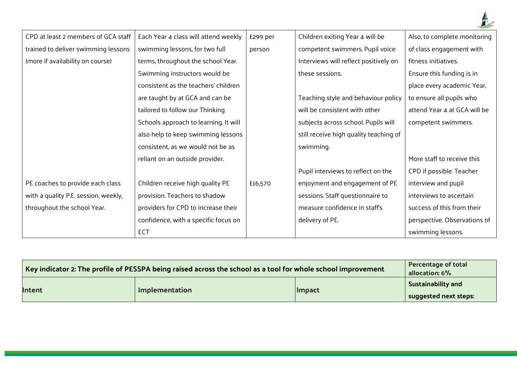

| CPD at least 2 members of GCA staff  | Each Year 4 class will attend weekly  | £299 per | Children exiting Year 4 will be        | Also, to complete monitoring |
|--------------------------------------|---------------------------------------|----------|----------------------------------------|------------------------------|
| trained to deliver swimming lessons  | swimming lessons, for two full        | person   | competent swimmers. Pupil voice        | of class engagement with     |
| (more if availability on course)     | terms, throughout the school Year.    |          | Interviews will reflect positively on  | fitness initiatives.         |
|                                      | Swimming instructors would be         |          | these sessions.                        | Ensure this funding is in    |
|                                      | consistent as the teachers' children  |          |                                        | place every academic Year,   |
|                                      | are taught by at GCA and can be       |          | Teaching style and behaviour policy    | to ensure all pupils who     |
|                                      | tailored to follow our Thinking       |          | will be consistent with other          | attend Year 4 at GCA will be |
|                                      | Schools approach to learning. It will |          | subjects across school. Pupils will    | competent swimmers.          |
|                                      | also help to keep swimming lessons    |          | still receive high quality teaching of |                              |
|                                      | consistent, as we would not be as     |          | swimming.                              |                              |
|                                      | reliant on an outside provider.       |          |                                        | More staff to receive this   |
|                                      |                                       |          | Pupil interviews to reflect on the     | CPD if possible. Teacher     |
| PE coaches to provide each class     | Children receive high quality PE      | £16,570  | enjoyment and engagement of PE         | interview and pupil          |
| with a quality P.E. session, weekly, | provision. Teachers to shadow         |          | sessions. Staff questionnaire to       | interviews to ascertain      |
| throughout the school Year.          | providers for CPD to increase their   |          | measure confidence in staff's          | success of this from their   |
|                                      | confidence, with a specific focus on  |          | delivery of PE.                        | perspective. Observations of |
|                                      | ECT                                   |          |                                        | swimming lessons.            |

| Key indicator 2: The profile of PESSPA being raised across the school as a tool for whole school improvement | <b>Percentage of total</b><br>allocation: 6% |               |                           |
|--------------------------------------------------------------------------------------------------------------|----------------------------------------------|---------------|---------------------------|
| <b>Intent</b>                                                                                                | Implementation                               | <b>Impact</b> | <b>Sustainability and</b> |
|                                                                                                              |                                              |               | suggested next steps:     |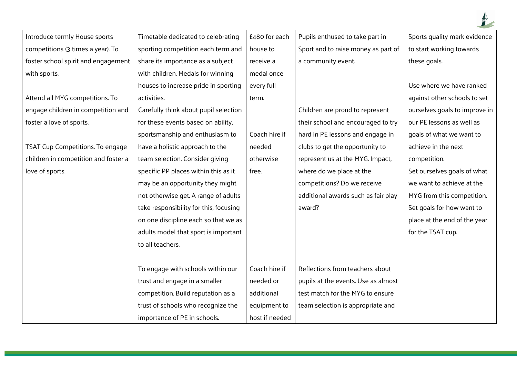| Introduce termly House sports        | Timetable dedicated to celebrating     | £480 for each  | Pupils enthused to take part in     | Sports quality mark evidence  |
|--------------------------------------|----------------------------------------|----------------|-------------------------------------|-------------------------------|
| competitions (3 times a year). To    | sporting competition each term and     | house to       | Sport and to raise money as part of | to start working towards      |
| foster school spirit and engagement  | share its importance as a subject      | receive a      | a community event.                  | these goals.                  |
| with sports.                         | with children. Medals for winning      | medal once     |                                     |                               |
|                                      | houses to increase pride in sporting   | every full     |                                     | Use where we have ranked      |
| Attend all MYG competitions. To      | activities.                            | term.          |                                     | against other schools to set  |
| engage children in competition and   | Carefully think about pupil selection  |                | Children are proud to represent     | ourselves goals to improve in |
| foster a love of sports.             | for these events based on ability,     |                | their school and encouraged to try  | our PE lessons as well as     |
|                                      | sportsmanship and enthusiasm to        | Coach hire if  | hard in PE lessons and engage in    | goals of what we want to      |
| TSAT Cup Competitions. To engage     | have a holistic approach to the        | needed         | clubs to get the opportunity to     | achieve in the next           |
| children in competition and foster a | team selection. Consider giving        | otherwise      | represent us at the MYG. Impact,    | competition.                  |
| love of sports.                      | specific PP places within this as it   | free.          | where do we place at the            | Set ourselves goals of what   |
|                                      | may be an opportunity they might       |                | competitions? Do we receive         | we want to achieve at the     |
|                                      | not otherwise get. A range of adults   |                | additional awards such as fair play | MYG from this competition.    |
|                                      | take responsibility for this, focusing |                | award?                              | Set goals for how want to     |
|                                      | on one discipline each so that we as   |                |                                     | place at the end of the year  |
|                                      | adults model that sport is important   |                |                                     | for the TSAT cup.             |
|                                      | to all teachers.                       |                |                                     |                               |
|                                      |                                        |                |                                     |                               |
|                                      | To engage with schools within our      | Coach hire if  | Reflections from teachers about     |                               |
|                                      | trust and engage in a smaller          | needed or      | pupils at the events. Use as almost |                               |
|                                      | competition. Build reputation as a     | additional     | test match for the MYG to ensure    |                               |
|                                      | trust of schools who recognize the     | equipment to   | team selection is appropriate and   |                               |
|                                      | importance of PE in schools.           | host if needed |                                     |                               |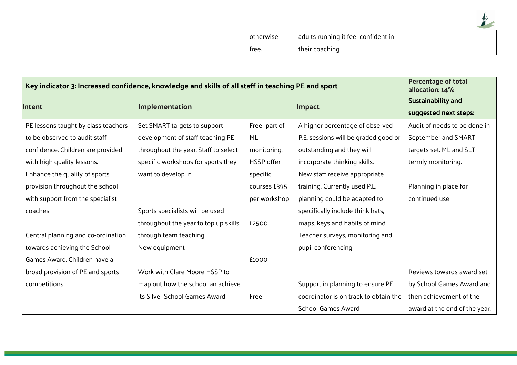|  | otherwise | adults running it feel confident in |  |
|--|-----------|-------------------------------------|--|
|  | tree.     | their coaching.                     |  |

| Key indicator 3: Increased confidence, knowledge and skills of all staff in teaching PE and sport | <b>Percentage of total</b><br>allocation: 14% |              |                                       |                                                    |
|---------------------------------------------------------------------------------------------------|-----------------------------------------------|--------------|---------------------------------------|----------------------------------------------------|
| <b>Intent</b>                                                                                     | Implementation                                |              | Impact                                | <b>Sustainability and</b><br>suggested next steps: |
| PE lessons taught by class teachers                                                               | Set SMART targets to support                  | Free-part of | A higher percentage of observed       | Audit of needs to be done in                       |
| to be observed to audit staff                                                                     | development of staff teaching PE              | ML           | P.E. sessions will be graded good or  | September and SMART                                |
| confidence. Children are provided                                                                 | throughout the year. Staff to select          | monitoring.  | outstanding and they will             | targets set. ML and SLT                            |
| with high quality lessons.                                                                        | specific workshops for sports they            | HSSP offer   | incorporate thinking skills.          | termly monitoring.                                 |
| Enhance the quality of sports                                                                     | want to develop in.                           | specific     | New staff receive appropriate         |                                                    |
| provision throughout the school                                                                   |                                               | courses £395 | training. Currently used P.E.         | Planning in place for                              |
| with support from the specialist                                                                  |                                               | per workshop | planning could be adapted to          | continued use                                      |
| coaches                                                                                           | Sports specialists will be used               |              | specifically include think hats,      |                                                    |
|                                                                                                   | throughout the year to top up skills          | £2500        | maps, keys and habits of mind.        |                                                    |
| Central planning and co-ordination                                                                | through team teaching                         |              | Teacher surveys, monitoring and       |                                                    |
| towards achieving the School                                                                      | New equipment                                 |              | pupil conferencing                    |                                                    |
| Games Award. Children have a                                                                      |                                               | £1000        |                                       |                                                    |
| broad provision of PE and sports                                                                  | Work with Clare Moore HSSP to                 |              |                                       | Reviews towards award set                          |
| competitions.                                                                                     | map out how the school an achieve             |              | Support in planning to ensure PE      | by School Games Award and                          |
|                                                                                                   | its Silver School Games Award                 | Free         | coordinator is on track to obtain the | then achievement of the                            |
|                                                                                                   |                                               |              | <b>School Games Award</b>             | award at the end of the year.                      |

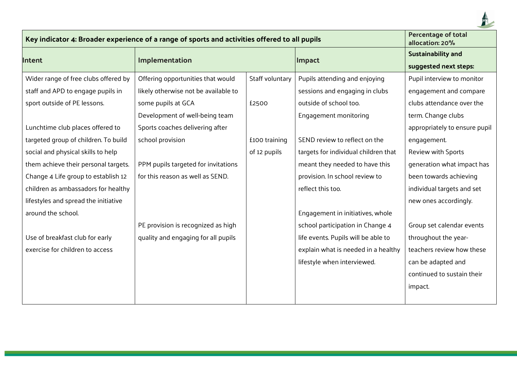

| Key indicator 4: Broader experience of a range of sports and activities offered to all pupils | <b>Percentage of total</b><br>allocation: 20% |                 |                                      |                                                    |
|-----------------------------------------------------------------------------------------------|-----------------------------------------------|-----------------|--------------------------------------|----------------------------------------------------|
| <b>Intent</b>                                                                                 | Implementation                                |                 | Impact                               | <b>Sustainability and</b><br>suggested next steps: |
| Wider range of free clubs offered by                                                          | Offering opportunities that would             | Staff voluntary | Pupils attending and enjoying        | Pupil interview to monitor                         |
| staff and APD to engage pupils in                                                             | likely otherwise not be available to          |                 | sessions and engaging in clubs       | engagement and compare                             |
| sport outside of PE lessons.                                                                  | some pupils at GCA                            | £2500           | outside of school too.               | clubs attendance over the                          |
|                                                                                               | Development of well-being team                |                 | Engagement monitoring                | term. Change clubs                                 |
| Lunchtime club places offered to                                                              | Sports coaches delivering after               |                 |                                      | appropriately to ensure pupil                      |
| targeted group of children. To build                                                          | school provision                              | £100 training   | SEND review to reflect on the        | engagement.                                        |
| social and physical skills to help                                                            |                                               | of 12 pupils    | targets for individual children that | Review with Sports                                 |
| them achieve their personal targets.                                                          | PPM pupils targeted for invitations           |                 | meant they needed to have this       | generation what impact has                         |
| Change 4 Life group to establish 12                                                           | for this reason as well as SEND.              |                 | provision. In school review to       | been towards achieving                             |
| children as ambassadors for healthy                                                           |                                               |                 | reflect this too.                    | individual targets and set                         |
| lifestyles and spread the initiative                                                          |                                               |                 |                                      | new ones accordingly.                              |
| around the school.                                                                            |                                               |                 | Engagement in initiatives, whole     |                                                    |
|                                                                                               | PE provision is recognized as high            |                 | school participation in Change 4     | Group set calendar events                          |
| Use of breakfast club for early                                                               | quality and engaging for all pupils           |                 | life events. Pupils will be able to  | throughout the year-                               |
| exercise for children to access                                                               |                                               |                 | explain what is needed in a healthy  | teachers review how these                          |
|                                                                                               |                                               |                 | lifestyle when interviewed.          | can be adapted and                                 |
|                                                                                               |                                               |                 |                                      | continued to sustain their                         |
|                                                                                               |                                               |                 |                                      | impact.                                            |
|                                                                                               |                                               |                 |                                      |                                                    |